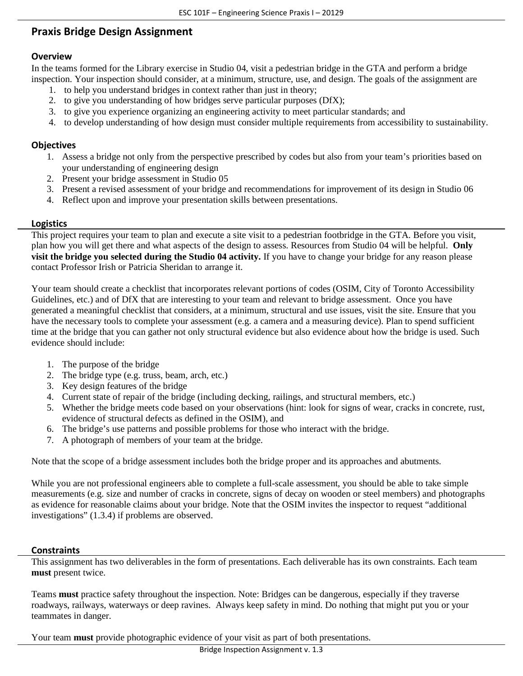# **Praxis Bridge Design Assignment**

## **Overview**

In the teams formed for the Library exercise in Studio 04, visit a pedestrian bridge in the GTA and perform a bridge inspection. Your inspection should consider, at a minimum, structure, use, and design. The goals of the assignment are

- 1. to help you understand bridges in context rather than just in theory;
- 2. to give you understanding of how bridges serve particular purposes (DfX);
- 3. to give you experience organizing an engineering activity to meet particular standards; and
- 4. to develop understanding of how design must consider multiple requirements from accessibility to sustainability.

## **Objectives**

- 1. Assess a bridge not only from the perspective prescribed by codes but also from your team's priorities based on your understanding of engineering design
- 2. Present your bridge assessment in Studio 05
- 3. Present a revised assessment of your bridge and recommendations for improvement of its design in Studio 06
- 4. Reflect upon and improve your presentation skills between presentations.

## **Logistics**

This project requires your team to plan and execute a site visit to a pedestrian footbridge in the GTA. Before you visit, plan how you will get there and what aspects of the design to assess. Resources from Studio 04 will be helpful. **Only visit the bridge you selected during the Studio 04 activity.** If you have to change your bridge for any reason please contact Professor Irish or Patricia Sheridan to arrange it.

Your team should create a checklist that incorporates relevant portions of codes (OSIM, City of Toronto Accessibility Guidelines, etc.) and of DfX that are interesting to your team and relevant to bridge assessment. Once you have generated a meaningful checklist that considers, at a minimum, structural and use issues, visit the site. Ensure that you have the necessary tools to complete your assessment (e.g. a camera and a measuring device). Plan to spend sufficient time at the bridge that you can gather not only structural evidence but also evidence about how the bridge is used. Such evidence should include:

- 1. The purpose of the bridge
- 2. The bridge type (e.g. truss, beam, arch, etc.)
- 3. Key design features of the bridge
- 4. Current state of repair of the bridge (including decking, railings, and structural members, etc.)
- 5. Whether the bridge meets code based on your observations (hint: look for signs of wear, cracks in concrete, rust, evidence of structural defects as defined in the OSIM), and
- 6. The bridge's use patterns and possible problems for those who interact with the bridge.
- 7. A photograph of members of your team at the bridge.

Note that the scope of a bridge assessment includes both the bridge proper and its approaches and abutments.

While you are not professional engineers able to complete a full-scale assessment, you should be able to take simple measurements (e.g. size and number of cracks in concrete, signs of decay on wooden or steel members) and photographs as evidence for reasonable claims about your bridge. Note that the OSIM invites the inspector to request "additional investigations" (1.3.4) if problems are observed.

#### **Constraints**

This assignment has two deliverables in the form of presentations. Each deliverable has its own constraints. Each team **must** present twice.

Teams **must** practice safety throughout the inspection. Note: Bridges can be dangerous, especially if they traverse roadways, railways, waterways or deep ravines. Always keep safety in mind. Do nothing that might put you or your teammates in danger.

Your team **must** provide photographic evidence of your visit as part of both presentations.